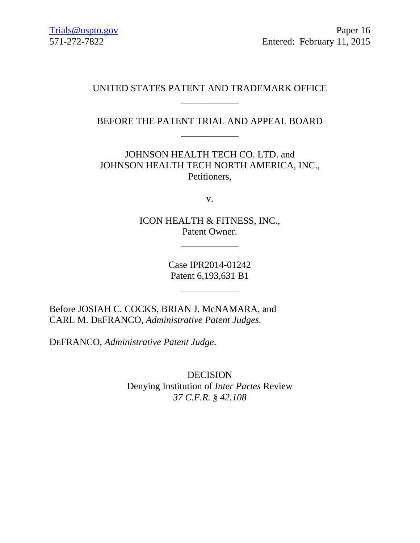## UNITED STATES PATENT AND TRADEMARK OFFICE \_\_\_\_\_\_\_\_\_\_\_\_

BEFORE THE PATENT TRIAL AND APPEAL BOARD \_\_\_\_\_\_\_\_\_\_\_\_

JOHNSON HEALTH TECH CO. LTD. and JOHNSON HEALTH TECH NORTH AMERICA, INC., Petitioners,

v.

ICON HEALTH & FITNESS, INC., Patent Owner.

\_\_\_\_\_\_\_\_\_\_\_\_

Case IPR2014-01242 Patent 6,193,631 B1

\_\_\_\_\_\_\_\_\_\_\_\_

Before JOSIAH C. COCKS, BRIAN J. McNAMARA, and CARL M. DEFRANCO, *Administrative Patent Judges.*

DEFRANCO, *Administrative Patent Judge*.

DECISION Denying Institution of *Inter Partes* Review *37 C.F.R. § 42.108*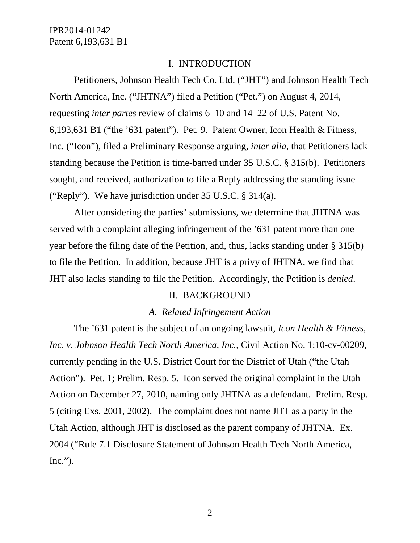### I. INTRODUCTION

Petitioners, Johnson Health Tech Co. Ltd. ("JHT") and Johnson Health Tech North America, Inc. ("JHTNA") filed a Petition ("Pet.") on August 4, 2014, requesting *inter partes* review of claims 6–10 and 14–22 of U.S. Patent No. 6,193,631 B1 ("the '631 patent"). Pet. 9. Patent Owner, Icon Health & Fitness, Inc. ("Icon"), filed a Preliminary Response arguing, *inter alia*, that Petitioners lack standing because the Petition is time-barred under 35 U.S.C. § 315(b). Petitioners sought, and received, authorization to file a Reply addressing the standing issue ("Reply"). We have jurisdiction under 35 U.S.C. § 314(a).

 After considering the parties' submissions, we determine that JHTNA was served with a complaint alleging infringement of the '631 patent more than one year before the filing date of the Petition, and, thus, lacks standing under § 315(b) to file the Petition. In addition, because JHT is a privy of JHTNA, we find that JHT also lacks standing to file the Petition. Accordingly, the Petition is *denied*.

### II. BACKGROUND

#### *A. Related Infringement Action*

 The '631 patent is the subject of an ongoing lawsuit, *Icon Health & Fitness, Inc. v. Johnson Health Tech North America, Inc.*, Civil Action No. 1:10-cv-00209, currently pending in the U.S. District Court for the District of Utah ("the Utah Action"). Pet. 1; Prelim. Resp. 5. Icon served the original complaint in the Utah Action on December 27, 2010, naming only JHTNA as a defendant. Prelim. Resp. 5 (citing Exs. 2001, 2002). The complaint does not name JHT as a party in the Utah Action, although JHT is disclosed as the parent company of JHTNA. Ex. 2004 ("Rule 7.1 Disclosure Statement of Johnson Health Tech North America,  $Inc."$ ).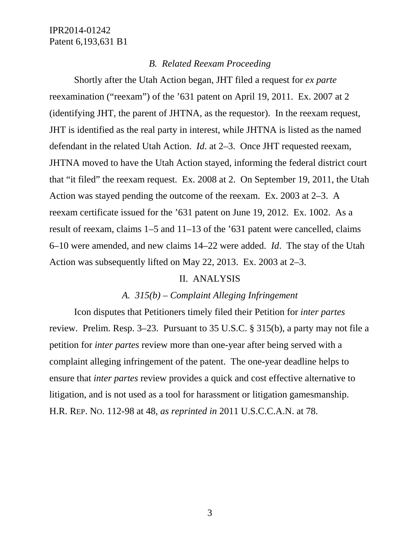#### *B. Related Reexam Proceeding*

 Shortly after the Utah Action began, JHT filed a request for *ex parte* reexamination ("reexam") of the '631 patent on April 19, 2011. Ex. 2007 at 2 (identifying JHT, the parent of JHTNA, as the requestor). In the reexam request, JHT is identified as the real party in interest, while JHTNA is listed as the named defendant in the related Utah Action. *Id*. at 2–3. Once JHT requested reexam, JHTNA moved to have the Utah Action stayed, informing the federal district court that "it filed" the reexam request. Ex. 2008 at 2. On September 19, 2011, the Utah Action was stayed pending the outcome of the reexam. Ex. 2003 at 2–3. A reexam certificate issued for the '631 patent on June 19, 2012. Ex. 1002. As a result of reexam, claims 1–5 and 11–13 of the '631 patent were cancelled, claims 6–10 were amended, and new claims 14–22 were added. *Id*. The stay of the Utah Action was subsequently lifted on May 22, 2013. Ex. 2003 at 2–3.

### II. ANALYSIS

## *A. 315(b) – Complaint Alleging Infringement*

 Icon disputes that Petitioners timely filed their Petition for *inter partes* review. Prelim. Resp. 3–23. Pursuant to 35 U.S.C. § 315(b), a party may not file a petition for *inter partes* review more than one-year after being served with a complaint alleging infringement of the patent. The one-year deadline helps to ensure that *inter partes* review provides a quick and cost effective alternative to litigation, and is not used as a tool for harassment or litigation gamesmanship. H.R. REP. NO. 112-98 at 48, *as reprinted in* 2011 U.S.C.C.A.N. at 78.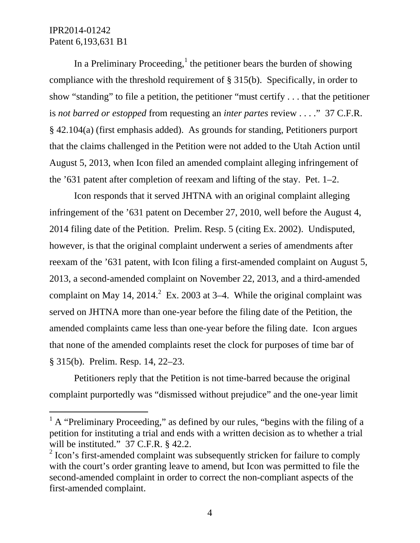$\overline{a}$ 

In a Preliminary Proceeding, $<sup>1</sup>$  the petitioner bears the burden of showing</sup> compliance with the threshold requirement of § 315(b). Specifically, in order to show "standing" to file a petition, the petitioner "must certify . . . that the petitioner is *not barred or estopped* from requesting an *inter partes* review . . . ." 37 C.F.R. § 42.104(a) (first emphasis added). As grounds for standing, Petitioners purport that the claims challenged in the Petition were not added to the Utah Action until August 5, 2013, when Icon filed an amended complaint alleging infringement of the '631 patent after completion of reexam and lifting of the stay. Pet. 1–2.

 Icon responds that it served JHTNA with an original complaint alleging infringement of the '631 patent on December 27, 2010, well before the August 4, 2014 filing date of the Petition. Prelim. Resp. 5 (citing Ex. 2002). Undisputed, however, is that the original complaint underwent a series of amendments after reexam of the '631 patent, with Icon filing a first-amended complaint on August 5, 2013, a second-amended complaint on November 22, 2013, and a third-amended complaint on May 14, 2014.<sup>2</sup> Ex. 2003 at 3–4. While the original complaint was served on JHTNA more than one-year before the filing date of the Petition, the amended complaints came less than one-year before the filing date. Icon argues that none of the amended complaints reset the clock for purposes of time bar of § 315(b). Prelim. Resp. 14, 22–23.

 Petitioners reply that the Petition is not time-barred because the original complaint purportedly was "dismissed without prejudice" and the one-year limit

 $<sup>1</sup>$  A "Preliminary Proceeding," as defined by our rules, "begins with the filing of a</sup> petition for instituting a trial and ends with a written decision as to whether a trial will be instituted." 37 C.F.R. § 42.2.

 $2$  Icon's first-amended complaint was subsequently stricken for failure to comply with the court's order granting leave to amend, but Icon was permitted to file the second-amended complaint in order to correct the non-compliant aspects of the first-amended complaint.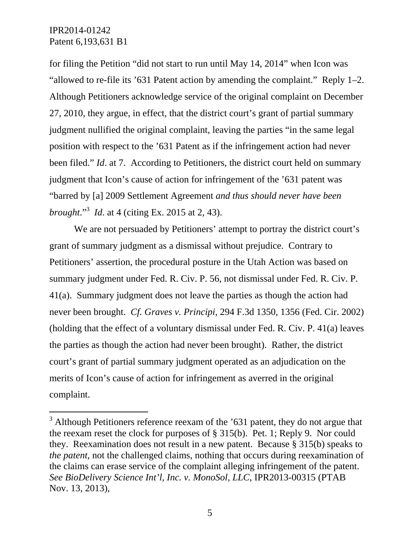$\overline{a}$ 

for filing the Petition "did not start to run until May 14, 2014" when Icon was "allowed to re-file its '631 Patent action by amending the complaint." Reply 1–2. Although Petitioners acknowledge service of the original complaint on December 27, 2010, they argue, in effect, that the district court's grant of partial summary judgment nullified the original complaint, leaving the parties "in the same legal position with respect to the '631 Patent as if the infringement action had never been filed." *Id.* at 7. According to Petitioners, the district court held on summary judgment that Icon's cause of action for infringement of the '631 patent was "barred by [a] 2009 Settlement Agreement *and thus should never have been brought*."3 *Id*. at 4 (citing Ex. 2015 at 2, 43).

 We are not persuaded by Petitioners' attempt to portray the district court's grant of summary judgment as a dismissal without prejudice. Contrary to Petitioners' assertion, the procedural posture in the Utah Action was based on summary judgment under Fed. R. Civ. P. 56, not dismissal under Fed. R. Civ. P. 41(a). Summary judgment does not leave the parties as though the action had never been brought. *Cf. Graves v. Principi*, 294 F.3d 1350, 1356 (Fed. Cir. 2002) (holding that the effect of a voluntary dismissal under Fed. R. Civ. P. 41(a) leaves the parties as though the action had never been brought). Rather, the district court's grant of partial summary judgment operated as an adjudication on the merits of Icon's cause of action for infringement as averred in the original complaint.

 $3$  Although Petitioners reference reexam of the  $31$  patent, they do not argue that the reexam reset the clock for purposes of § 315(b). Pet. 1; Reply 9. Nor could they. Reexamination does not result in a new patent. Because § 315(b) speaks to *the patent*, not the challenged claims, nothing that occurs during reexamination of the claims can erase service of the complaint alleging infringement of the patent. *See BioDelivery Science Int'l, Inc. v. MonoSol, LLC*, IPR2013-00315 (PTAB Nov. 13, 2013),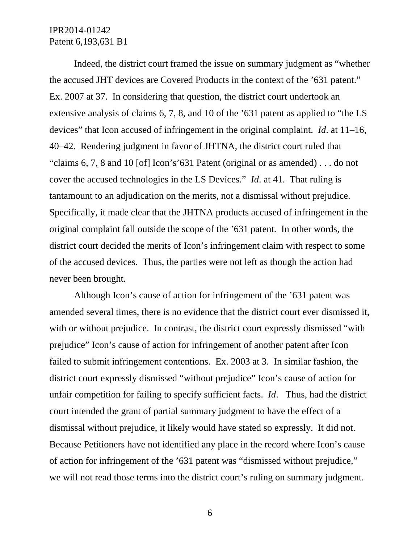Indeed, the district court framed the issue on summary judgment as "whether the accused JHT devices are Covered Products in the context of the '631 patent." Ex. 2007 at 37. In considering that question, the district court undertook an extensive analysis of claims 6, 7, 8, and 10 of the '631 patent as applied to "the LS devices" that Icon accused of infringement in the original complaint. *Id*. at 11–16, 40–42. Rendering judgment in favor of JHTNA, the district court ruled that "claims 6, 7, 8 and 10 [of] Icon's'631 Patent (original or as amended) . . . do not cover the accused technologies in the LS Devices." *Id*. at 41. That ruling is tantamount to an adjudication on the merits, not a dismissal without prejudice. Specifically, it made clear that the JHTNA products accused of infringement in the original complaint fall outside the scope of the '631 patent. In other words, the district court decided the merits of Icon's infringement claim with respect to some of the accused devices. Thus, the parties were not left as though the action had never been brought.

 Although Icon's cause of action for infringement of the '631 patent was amended several times, there is no evidence that the district court ever dismissed it, with or without prejudice. In contrast, the district court expressly dismissed "with" prejudice" Icon's cause of action for infringement of another patent after Icon failed to submit infringement contentions. Ex. 2003 at 3. In similar fashion, the district court expressly dismissed "without prejudice" Icon's cause of action for unfair competition for failing to specify sufficient facts. *Id*. Thus, had the district court intended the grant of partial summary judgment to have the effect of a dismissal without prejudice, it likely would have stated so expressly. It did not. Because Petitioners have not identified any place in the record where Icon's cause of action for infringement of the '631 patent was "dismissed without prejudice," we will not read those terms into the district court's ruling on summary judgment.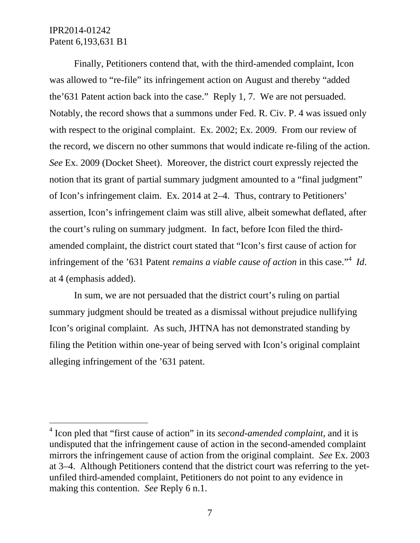l

 Finally, Petitioners contend that, with the third-amended complaint, Icon was allowed to "re-file" its infringement action on August and thereby "added the'631 Patent action back into the case." Reply 1, 7. We are not persuaded. Notably, the record shows that a summons under Fed. R. Civ. P. 4 was issued only with respect to the original complaint. Ex. 2002; Ex. 2009. From our review of the record, we discern no other summons that would indicate re-filing of the action. *See* Ex. 2009 (Docket Sheet). Moreover, the district court expressly rejected the notion that its grant of partial summary judgment amounted to a "final judgment" of Icon's infringement claim. Ex. 2014 at 2–4. Thus, contrary to Petitioners' assertion, Icon's infringement claim was still alive, albeit somewhat deflated, after the court's ruling on summary judgment. In fact, before Icon filed the thirdamended complaint, the district court stated that "Icon's first cause of action for infringement of the '631 Patent *remains a viable cause of action* in this case."<sup>4</sup> Id. at 4 (emphasis added).

 In sum, we are not persuaded that the district court's ruling on partial summary judgment should be treated as a dismissal without prejudice nullifying Icon's original complaint. As such, JHTNA has not demonstrated standing by filing the Petition within one-year of being served with Icon's original complaint alleging infringement of the '631 patent.

<sup>4</sup> Icon pled that "first cause of action" in its *second-amended complaint*, and it is undisputed that the infringement cause of action in the second-amended complaint mirrors the infringement cause of action from the original complaint. *See* Ex. 2003 at 3–4. Although Petitioners contend that the district court was referring to the yetunfiled third-amended complaint, Petitioners do not point to any evidence in making this contention. *See* Reply 6 n.1.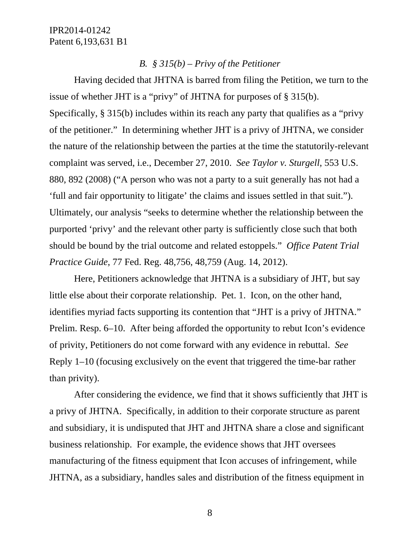### *B. § 315(b) – Privy of the Petitioner*

 Having decided that JHTNA is barred from filing the Petition, we turn to the issue of whether JHT is a "privy" of JHTNA for purposes of § 315(b). Specifically, § 315(b) includes within its reach any party that qualifies as a "privy of the petitioner." In determining whether JHT is a privy of JHTNA, we consider the nature of the relationship between the parties at the time the statutorily-relevant complaint was served, i.e., December 27, 2010. *See Taylor v. Sturgell*, 553 U.S. 880, 892 (2008) ("A person who was not a party to a suit generally has not had a 'full and fair opportunity to litigate' the claims and issues settled in that suit."). Ultimately, our analysis "seeks to determine whether the relationship between the purported 'privy' and the relevant other party is sufficiently close such that both should be bound by the trial outcome and related estoppels." *Office Patent Trial Practice Guide*, 77 Fed. Reg. 48,756, 48,759 (Aug. 14, 2012).

 Here, Petitioners acknowledge that JHTNA is a subsidiary of JHT, but say little else about their corporate relationship. Pet. 1. Icon, on the other hand, identifies myriad facts supporting its contention that "JHT is a privy of JHTNA." Prelim. Resp. 6–10. After being afforded the opportunity to rebut Icon's evidence of privity, Petitioners do not come forward with any evidence in rebuttal. *See* Reply 1–10 (focusing exclusively on the event that triggered the time-bar rather than privity).

 After considering the evidence, we find that it shows sufficiently that JHT is a privy of JHTNA. Specifically, in addition to their corporate structure as parent and subsidiary, it is undisputed that JHT and JHTNA share a close and significant business relationship. For example, the evidence shows that JHT oversees manufacturing of the fitness equipment that Icon accuses of infringement, while JHTNA, as a subsidiary, handles sales and distribution of the fitness equipment in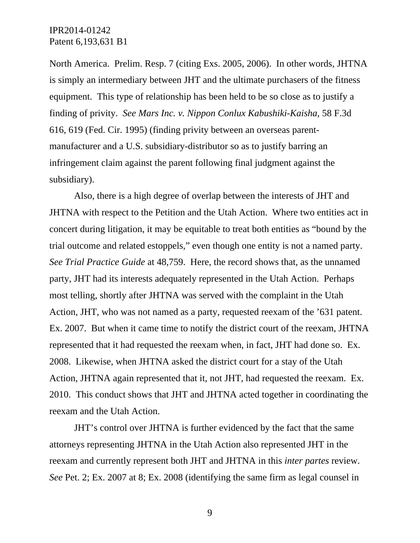North America. Prelim. Resp. 7 (citing Exs. 2005, 2006). In other words, JHTNA is simply an intermediary between JHT and the ultimate purchasers of the fitness equipment. This type of relationship has been held to be so close as to justify a finding of privity. *See Mars Inc. v. Nippon Conlux Kabushiki-Kaisha*, 58 F.3d 616, 619 (Fed. Cir. 1995) (finding privity between an overseas parentmanufacturer and a U.S. subsidiary-distributor so as to justify barring an infringement claim against the parent following final judgment against the subsidiary).

 Also, there is a high degree of overlap between the interests of JHT and JHTNA with respect to the Petition and the Utah Action. Where two entities act in concert during litigation, it may be equitable to treat both entities as "bound by the trial outcome and related estoppels," even though one entity is not a named party. *See Trial Practice Guide* at 48,759. Here, the record shows that, as the unnamed party, JHT had its interests adequately represented in the Utah Action. Perhaps most telling, shortly after JHTNA was served with the complaint in the Utah Action, JHT, who was not named as a party, requested reexam of the '631 patent. Ex. 2007. But when it came time to notify the district court of the reexam, JHTNA represented that it had requested the reexam when, in fact, JHT had done so. Ex. 2008. Likewise, when JHTNA asked the district court for a stay of the Utah Action, JHTNA again represented that it, not JHT, had requested the reexam. Ex. 2010. This conduct shows that JHT and JHTNA acted together in coordinating the reexam and the Utah Action.

 JHT's control over JHTNA is further evidenced by the fact that the same attorneys representing JHTNA in the Utah Action also represented JHT in the reexam and currently represent both JHT and JHTNA in this *inter partes* review. *See* Pet. 2; Ex. 2007 at 8; Ex. 2008 (identifying the same firm as legal counsel in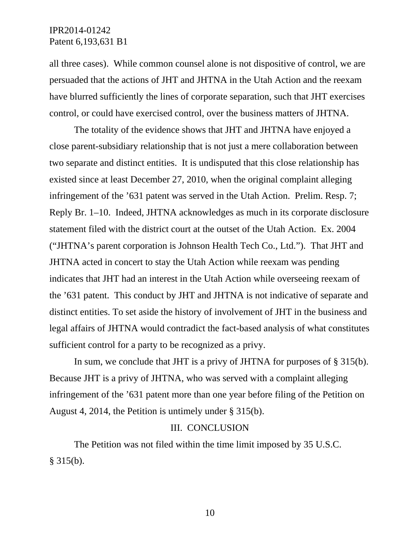all three cases). While common counsel alone is not dispositive of control, we are persuaded that the actions of JHT and JHTNA in the Utah Action and the reexam have blurred sufficiently the lines of corporate separation, such that JHT exercises control, or could have exercised control, over the business matters of JHTNA.

 The totality of the evidence shows that JHT and JHTNA have enjoyed a close parent-subsidiary relationship that is not just a mere collaboration between two separate and distinct entities. It is undisputed that this close relationship has existed since at least December 27, 2010, when the original complaint alleging infringement of the '631 patent was served in the Utah Action. Prelim. Resp. 7; Reply Br. 1–10. Indeed, JHTNA acknowledges as much in its corporate disclosure statement filed with the district court at the outset of the Utah Action. Ex. 2004 ("JHTNA's parent corporation is Johnson Health Tech Co., Ltd."). That JHT and JHTNA acted in concert to stay the Utah Action while reexam was pending indicates that JHT had an interest in the Utah Action while overseeing reexam of the '631 patent. This conduct by JHT and JHTNA is not indicative of separate and distinct entities. To set aside the history of involvement of JHT in the business and legal affairs of JHTNA would contradict the fact-based analysis of what constitutes sufficient control for a party to be recognized as a privy.

 In sum, we conclude that JHT is a privy of JHTNA for purposes of § 315(b). Because JHT is a privy of JHTNA, who was served with a complaint alleging infringement of the '631 patent more than one year before filing of the Petition on August 4, 2014, the Petition is untimely under § 315(b).

#### III. CONCLUSION

 The Petition was not filed within the time limit imposed by 35 U.S.C. § 315(b).